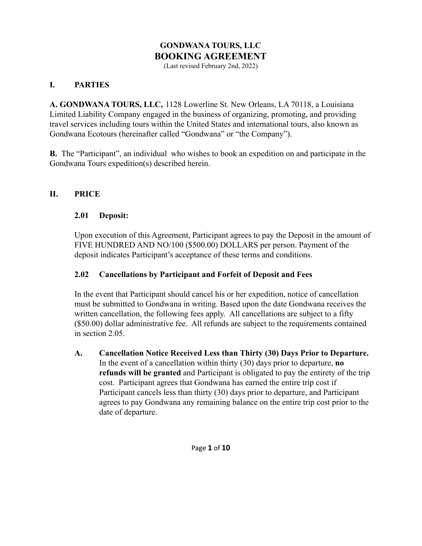# **GONDWANA TOURS, LLC BOOKING AGREEMENT**

(Last revised February 2nd, 2022)

### **I. PARTIES**

**A. GONDWANA TOURS, LLC,** 1128 Lowerline St. New Orleans, LA 70118, a Louisiana Limited Liability Company engaged in the business of organizing, promoting, and providing travel services including tours within the United States and international tours, also known as Gondwana Ecotours (hereinafter called "Gondwana" or "the Company").

**B.** The "Participant", an individual who wishes to book an expedition on and participate in the Gondwana Tours expedition(s) described herein.

#### **II. PRICE**

#### **2.01 Deposit:**

Upon execution of this Agreement, Participant agrees to pay the Deposit in the amount of FIVE HUNDRED AND NO/100 (\$500.00) DOLLARS per person. Payment of the deposit indicates Participant's acceptance of these terms and conditions.

#### **2.02 Cancellations by Participant and Forfeit of Deposit and Fees**

In the event that Participant should cancel his or her expedition, notice of cancellation must be submitted to Gondwana in writing. Based upon the date Gondwana receives the written cancellation, the following fees apply. All cancellations are subject to a fifty (\$50.00) dollar administrative fee. All refunds are subject to the requirements contained in section 2.05.

**A. Cancellation Notice Received Less than Thirty (30) Days Prior to Departure.** In the event of a cancellation within thirty (30) days prior to departure, **no refunds will be granted** and Participant is obligated to pay the entirety of the trip cost. Participant agrees that Gondwana has earned the entire trip cost if Participant cancels less than thirty (30) days prior to departure, and Participant agrees to pay Gondwana any remaining balance on the entire trip cost prior to the date of departure.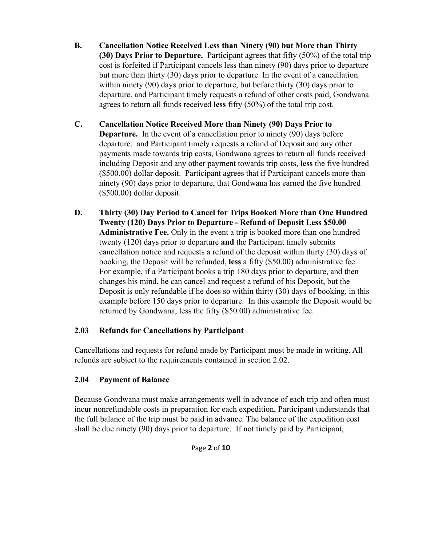- **B. Cancellation Notice Received Less than Ninety (90) but More than Thirty (30) Days Prior to Departure.** Participant agrees that fifty (50%) of the total trip cost is forfeited if Participant cancels less than ninety (90) days prior to departure but more than thirty (30) days prior to departure. In the event of a cancellation within ninety (90) days prior to departure, but before thirty (30) days prior to departure, and Participant timely requests a refund of other costs paid, Gondwana agrees to return all funds received **less** fifty (50%) of the total trip cost.
- **C. Cancellation Notice Received More than Ninety (90) Days Prior to Departure.** In the event of a cancellation prior to ninety (90) days before departure, and Participant timely requests a refund of Deposit and any other payments made towards trip costs, Gondwana agrees to return all funds received including Deposit and any other payment towards trip costs, **less** the five hundred (\$500.00) dollar deposit. Participant agrees that if Participant cancels more than ninety (90) days prior to departure, that Gondwana has earned the five hundred (\$500.00) dollar deposit.
- **D. Thirty (30) Day Period to Cancel for Trips Booked More than One Hundred Twenty (120) Days Prior to Departure - Refund of Deposit Less \$50.00 Administrative Fee.** Only in the event a trip is booked more than one hundred twenty (120) days prior to departure **and** the Participant timely submits cancellation notice and requests a refund of the deposit within thirty (30) days of booking, the Deposit will be refunded, **less** a fifty (\$50.00) administrative fee. For example, if a Participant books a trip 180 days prior to departure, and then changes his mind, he can cancel and request a refund of his Deposit, but the Deposit is only refundable if he does so within thirty (30) days of booking, in this example before 150 days prior to departure. In this example the Deposit would be returned by Gondwana, less the fifty (\$50.00) administrative fee.

## **2.03 Refunds for Cancellations by Participant**

Cancellations and requests for refund made by Participant must be made in writing. All refunds are subject to the requirements contained in section 2.02.

## **2.04 Payment of Balance**

Because Gondwana must make arrangements well in advance of each trip and often must incur nonrefundable costs in preparation for each expedition, Participant understands that the full balance of the trip must be paid in advance. The balance of the expedition cost shall be due ninety (90) days prior to departure. If not timely paid by Participant,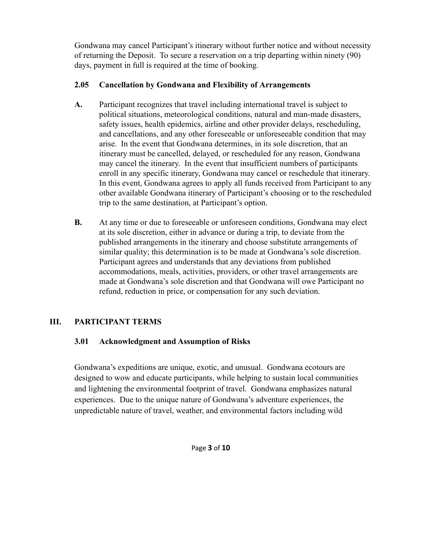Gondwana may cancel Participant's itinerary without further notice and without necessity of returning the Deposit. To secure a reservation on a trip departing within ninety (90) days, payment in full is required at the time of booking.

## **2.05 Cancellation by Gondwana and Flexibility of Arrangements**

- **A.** Participant recognizes that travel including international travel is subject to political situations, meteorological conditions, natural and man-made disasters, safety issues, health epidemics, airline and other provider delays, rescheduling, and cancellations, and any other foreseeable or unforeseeable condition that may arise. In the event that Gondwana determines, in its sole discretion, that an itinerary must be cancelled, delayed, or rescheduled for any reason, Gondwana may cancel the itinerary. In the event that insufficient numbers of participants enroll in any specific itinerary, Gondwana may cancel or reschedule that itinerary. In this event, Gondwana agrees to apply all funds received from Participant to any other available Gondwana itinerary of Participant's choosing or to the rescheduled trip to the same destination, at Participant's option.
- **B.** At any time or due to foreseeable or unforeseen conditions, Gondwana may elect at its sole discretion, either in advance or during a trip, to deviate from the published arrangements in the itinerary and choose substitute arrangements of similar quality; this determination is to be made at Gondwana's sole discretion. Participant agrees and understands that any deviations from published accommodations, meals, activities, providers, or other travel arrangements are made at Gondwana's sole discretion and that Gondwana will owe Participant no refund, reduction in price, or compensation for any such deviation.

## **III. PARTICIPANT TERMS**

## **3.01 Acknowledgment and Assumption of Risks**

Gondwana's expeditions are unique, exotic, and unusual. Gondwana ecotours are designed to wow and educate participants, while helping to sustain local communities and lightening the environmental footprint of travel. Gondwana emphasizes natural experiences. Due to the unique nature of Gondwana's adventure experiences, the unpredictable nature of travel, weather, and environmental factors including wild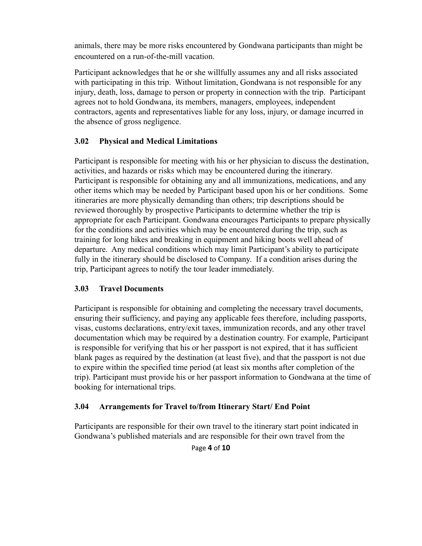animals, there may be more risks encountered by Gondwana participants than might be encountered on a run-of-the-mill vacation.

Participant acknowledges that he or she willfully assumes any and all risks associated with participating in this trip. Without limitation, Gondwana is not responsible for any injury, death, loss, damage to person or property in connection with the trip. Participant agrees not to hold Gondwana, its members, managers, employees, independent contractors, agents and representatives liable for any loss, injury, or damage incurred in the absence of gross negligence.

### **3.02 Physical and Medical Limitations**

Participant is responsible for meeting with his or her physician to discuss the destination, activities, and hazards or risks which may be encountered during the itinerary. Participant is responsible for obtaining any and all immunizations, medications, and any other items which may be needed by Participant based upon his or her conditions. Some itineraries are more physically demanding than others; trip descriptions should be reviewed thoroughly by prospective Participants to determine whether the trip is appropriate for each Participant. Gondwana encourages Participants to prepare physically for the conditions and activities which may be encountered during the trip, such as training for long hikes and breaking in equipment and hiking boots well ahead of departure. Any medical conditions which may limit Participant's ability to participate fully in the itinerary should be disclosed to Company. If a condition arises during the trip, Participant agrees to notify the tour leader immediately.

### **3.03 Travel Documents**

Participant is responsible for obtaining and completing the necessary travel documents, ensuring their sufficiency, and paying any applicable fees therefore, including passports, visas, customs declarations, entry/exit taxes, immunization records, and any other travel documentation which may be required by a destination country. For example, Participant is responsible for verifying that his or her passport is not expired, that it has sufficient blank pages as required by the destination (at least five), and that the passport is not due to expire within the specified time period (at least six months after completion of the trip). Participant must provide his or her passport information to Gondwana at the time of booking for international trips.

### **3.04 Arrangements for Travel to/from Itinerary Start/ End Point**

Participants are responsible for their own travel to the itinerary start point indicated in Gondwana's published materials and are responsible for their own travel from the

Page **4** of **10**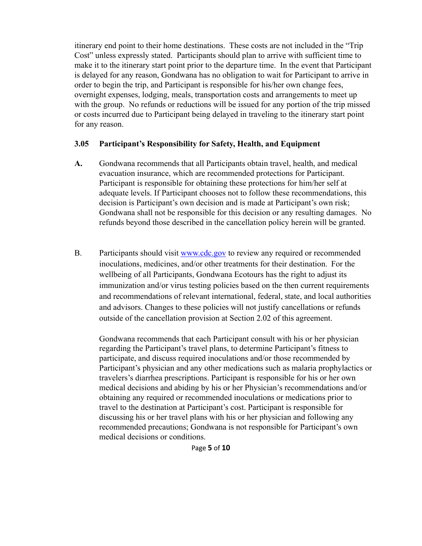itinerary end point to their home destinations. These costs are not included in the "Trip Cost" unless expressly stated. Participants should plan to arrive with sufficient time to make it to the itinerary start point prior to the departure time. In the event that Participant is delayed for any reason, Gondwana has no obligation to wait for Participant to arrive in order to begin the trip, and Participant is responsible for his/her own change fees, overnight expenses, lodging, meals, transportation costs and arrangements to meet up with the group. No refunds or reductions will be issued for any portion of the trip missed or costs incurred due to Participant being delayed in traveling to the itinerary start point for any reason.

#### **3.05 Participant's Responsibility for Safety, Health, and Equipment**

- **A.** Gondwana recommends that all Participants obtain travel, health, and medical evacuation insurance, which are recommended protections for Participant. Participant is responsible for obtaining these protections for him/her self at adequate levels. If Participant chooses not to follow these recommendations, this decision is Participant's own decision and is made at Participant's own risk; Gondwana shall not be responsible for this decision or any resulting damages. No refunds beyond those described in the cancellation policy herein will be granted.
- B. Participants should visit [www.cdc.gov](http://www.cdc.gov) to review any required or recommended inoculations, medicines, and/or other treatments for their destination. For the wellbeing of all Participants, Gondwana Ecotours has the right to adjust its immunization and/or virus testing policies based on the then current requirements and recommendations of relevant international, federal, state, and local authorities and advisors. Changes to these policies will not justify cancellations or refunds outside of the cancellation provision at Section 2.02 of this agreement.

Gondwana recommends that each Participant consult with his or her physician regarding the Participant's travel plans, to determine Participant's fitness to participate, and discuss required inoculations and/or those recommended by Participant's physician and any other medications such as malaria prophylactics or travelers's diarrhea prescriptions. Participant is responsible for his or her own medical decisions and abiding by his or her Physician's recommendations and/or obtaining any required or recommended inoculations or medications prior to travel to the destination at Participant's cost. Participant is responsible for discussing his or her travel plans with his or her physician and following any recommended precautions; Gondwana is not responsible for Participant's own medical decisions or conditions.

Page **5** of **10**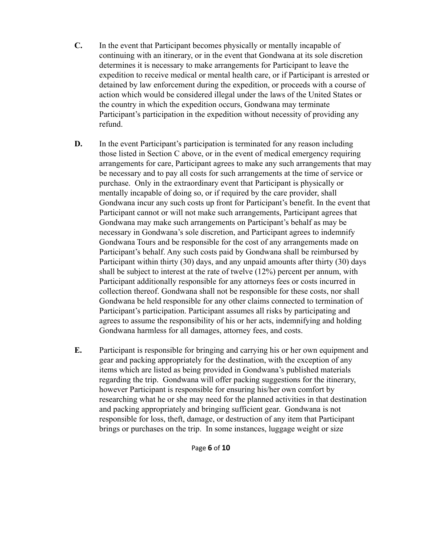- **C.** In the event that Participant becomes physically or mentally incapable of continuing with an itinerary, or in the event that Gondwana at its sole discretion determines it is necessary to make arrangements for Participant to leave the expedition to receive medical or mental health care, or if Participant is arrested or detained by law enforcement during the expedition, or proceeds with a course of action which would be considered illegal under the laws of the United States or the country in which the expedition occurs, Gondwana may terminate Participant's participation in the expedition without necessity of providing any refund.
- **D.** In the event Participant's participation is terminated for any reason including those listed in Section C above, or in the event of medical emergency requiring arrangements for care, Participant agrees to make any such arrangements that may be necessary and to pay all costs for such arrangements at the time of service or purchase. Only in the extraordinary event that Participant is physically or mentally incapable of doing so, or if required by the care provider, shall Gondwana incur any such costs up front for Participant's benefit. In the event that Participant cannot or will not make such arrangements, Participant agrees that Gondwana may make such arrangements on Participant's behalf as may be necessary in Gondwana's sole discretion, and Participant agrees to indemnify Gondwana Tours and be responsible for the cost of any arrangements made on Participant's behalf. Any such costs paid by Gondwana shall be reimbursed by Participant within thirty (30) days, and any unpaid amounts after thirty (30) days shall be subject to interest at the rate of twelve (12%) percent per annum, with Participant additionally responsible for any attorneys fees or costs incurred in collection thereof. Gondwana shall not be responsible for these costs, nor shall Gondwana be held responsible for any other claims connected to termination of Participant's participation. Participant assumes all risks by participating and agrees to assume the responsibility of his or her acts, indemnifying and holding Gondwana harmless for all damages, attorney fees, and costs.
- **E.** Participant is responsible for bringing and carrying his or her own equipment and gear and packing appropriately for the destination, with the exception of any items which are listed as being provided in Gondwana's published materials regarding the trip. Gondwana will offer packing suggestions for the itinerary, however Participant is responsible for ensuring his/her own comfort by researching what he or she may need for the planned activities in that destination and packing appropriately and bringing sufficient gear. Gondwana is not responsible for loss, theft, damage, or destruction of any item that Participant brings or purchases on the trip. In some instances, luggage weight or size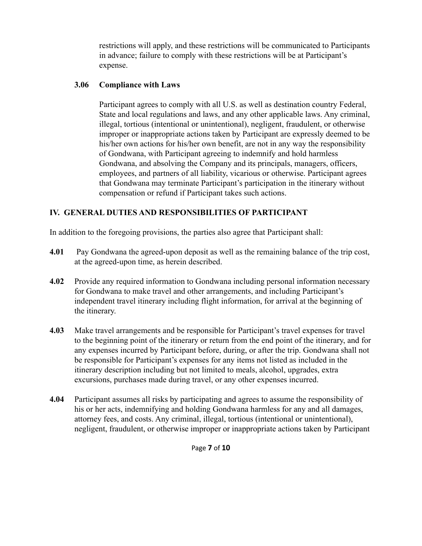restrictions will apply, and these restrictions will be communicated to Participants in advance; failure to comply with these restrictions will be at Participant's expense.

#### **3.06 Compliance with Laws**

Participant agrees to comply with all U.S. as well as destination country Federal, State and local regulations and laws, and any other applicable laws. Any criminal, illegal, tortious (intentional or unintentional), negligent, fraudulent, or otherwise improper or inappropriate actions taken by Participant are expressly deemed to be his/her own actions for his/her own benefit, are not in any way the responsibility of Gondwana, with Participant agreeing to indemnify and hold harmless Gondwana, and absolving the Company and its principals, managers, officers, employees, and partners of all liability, vicarious or otherwise. Participant agrees that Gondwana may terminate Participant's participation in the itinerary without compensation or refund if Participant takes such actions.

## **IV. GENERAL DUTIES AND RESPONSIBILITIES OF PARTICIPANT**

In addition to the foregoing provisions, the parties also agree that Participant shall:

- **4.01** Pay Gondwana the agreed-upon deposit as well as the remaining balance of the trip cost, at the agreed-upon time, as herein described.
- **4.02** Provide any required information to Gondwana including personal information necessary for Gondwana to make travel and other arrangements, and including Participant's independent travel itinerary including flight information, for arrival at the beginning of the itinerary.
- **4.03** Make travel arrangements and be responsible for Participant's travel expenses for travel to the beginning point of the itinerary or return from the end point of the itinerary, and for any expenses incurred by Participant before, during, or after the trip. Gondwana shall not be responsible for Participant's expenses for any items not listed as included in the itinerary description including but not limited to meals, alcohol, upgrades, extra excursions, purchases made during travel, or any other expenses incurred.
- **4.04** Participant assumes all risks by participating and agrees to assume the responsibility of his or her acts, indemnifying and holding Gondwana harmless for any and all damages, attorney fees, and costs. Any criminal, illegal, tortious (intentional or unintentional), negligent, fraudulent, or otherwise improper or inappropriate actions taken by Participant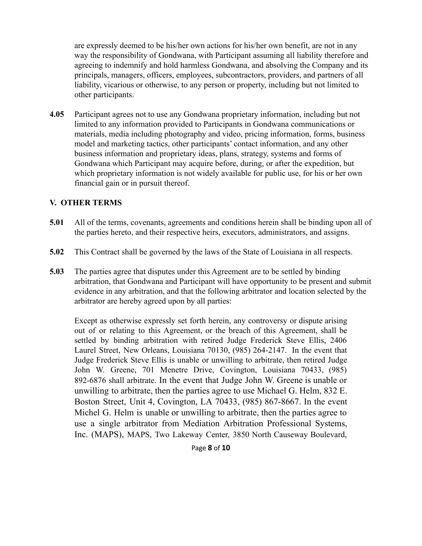are expressly deemed to be his/her own actions for his/her own benefit, are not in any way the responsibility of Gondwana, with Participant assuming all liability therefore and agreeing to indemnify and hold harmless Gondwana, and absolving the Company and its principals, managers, officers, employees, subcontractors, providers, and partners of all liability, vicarious or otherwise, to any person or property, including but not limited to other participants.

**4.05** Participant agrees not to use any Gondwana proprietary information, including but not limited to any information provided to Participants in Gondwana communications or materials, media including photography and video, pricing information, forms, business model and marketing tactics, other participants' contact information, and any other business information and proprietary ideas, plans, strategy, systems and forms of Gondwana which Participant may acquire before, during, or after the expedition, but which proprietary information is not widely available for public use, for his or her own financial gain or in pursuit thereof.

#### **V. OTHER TERMS**

- **5.01** All of the terms, covenants, agreements and conditions herein shall be binding upon all of the parties hereto, and their respective heirs, executors, administrators, and assigns.
- **5.02** This Contract shall be governed by the laws of the State of Louisiana in all respects.
- **5.03** The parties agree that disputes under this Agreement are to be settled by binding arbitration, that Gondwana and Participant will have opportunity to be present and submit evidence in any arbitration, and that the following arbitrator and location selected by the arbitrator are hereby agreed upon by all parties:

Except as otherwise expressly set forth herein, any controversy or dispute arising out of or relating to this Agreement, or the breach of this Agreement, shall be settled by binding arbitration with retired Judge Frederick Steve Ellis, 2406 Laurel Street, New Orleans, Louisiana 70130, (985) 264-2147. In the event that Judge Frederick Steve Ellis is unable or unwilling to arbitrate, then retired Judge John W. Greene, 701 Menetre Drive, Covington, Louisiana 70433, (985) 892-6876 shall arbitrate. In the event that Judge John W. Greene is unable or unwilling to arbitrate, then the parties agree to use Michael G. Helm, 832 E. Boston Street, Unit 4, Covington, LA 70433, (985) 867-8667. In the event Michel G. Helm is unable or unwilling to arbitrate, then the parties agree to use a single arbitrator from Mediation Arbitration Professional Systems, Inc. (MAPS), MAPS, Two Lakeway Center, 3850 North Causeway Boulevard,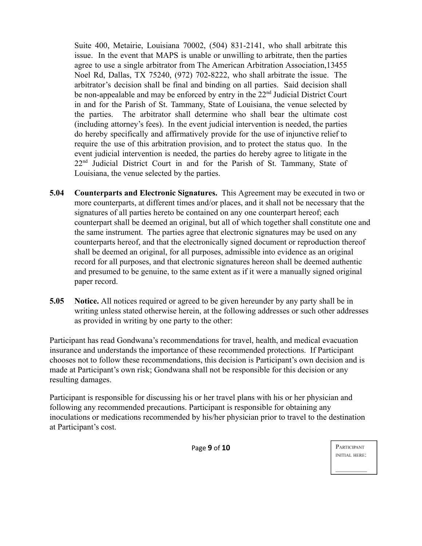Suite 400, Metairie, Louisiana 70002, (504) 831-2141, who shall arbitrate this issue. In the event that MAPS is unable or unwilling to arbitrate, then the parties agree to use a single arbitrator from The American Arbitration Association,13455 Noel Rd, Dallas, TX 75240, (972) 702-8222, who shall arbitrate the issue. The arbitrator's decision shall be final and binding on all parties. Said decision shall be non-appealable and may be enforced by entry in the 22<sup>nd</sup> Judicial District Court in and for the Parish of St. Tammany, State of Louisiana, the venue selected by the parties. The arbitrator shall determine who shall bear the ultimate cost (including attorney's fees). In the event judicial intervention is needed, the parties do hereby specifically and affirmatively provide for the use of injunctive relief to require the use of this arbitration provision, and to protect the status quo. In the event judicial intervention is needed, the parties do hereby agree to litigate in the 22<sup>nd</sup> Judicial District Court in and for the Parish of St. Tammany, State of Louisiana, the venue selected by the parties.

- **5.04 Counterparts and Electronic Signatures.** This Agreement may be executed in two or more counterparts, at different times and/or places, and it shall not be necessary that the signatures of all parties hereto be contained on any one counterpart hereof; each counterpart shall be deemed an original, but all of which together shall constitute one and the same instrument. The parties agree that electronic signatures may be used on any counterparts hereof, and that the electronically signed document or reproduction thereof shall be deemed an original, for all purposes, admissible into evidence as an original record for all purposes, and that electronic signatures hereon shall be deemed authentic and presumed to be genuine, to the same extent as if it were a manually signed original paper record.
- **5.05 Notice.** All notices required or agreed to be given hereunder by any party shall be in writing unless stated otherwise herein, at the following addresses or such other addresses as provided in writing by one party to the other:

Participant has read Gondwana's recommendations for travel, health, and medical evacuation insurance and understands the importance of these recommended protections. If Participant chooses not to follow these recommendations, this decision is Participant's own decision and is made at Participant's own risk; Gondwana shall not be responsible for this decision or any resulting damages.

Participant is responsible for discussing his or her travel plans with his or her physician and following any recommended precautions. Participant is responsible for obtaining any inoculations or medications recommended by his/her physician prior to travel to the destination at Participant's cost.

Page **9** of **10**